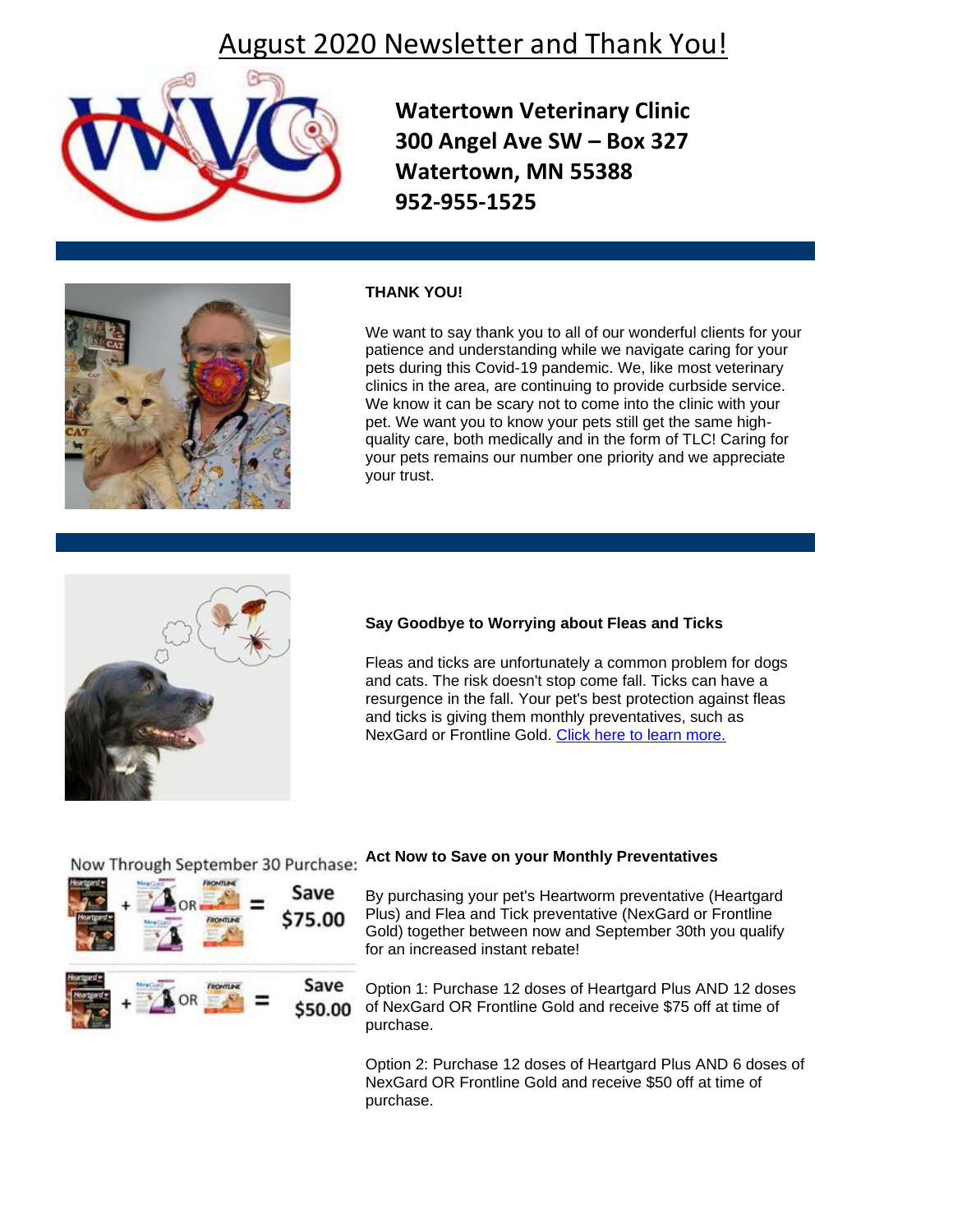## August 2020 Newsletter and Thank You!



**Watertown Veterinary Clinic 300 Angel Ave SW – Box 327 Watertown, MN 55388 952-955-1525**



### **THANK YOU!**

We want to say thank you to all of our wonderful clients for your patience and understanding while we navigate caring for your pets during this Covid-19 pandemic. We, like most veterinary clinics in the area, are continuing to provide curbside service. We know it can be scary not to come into the clinic with your pet. We want you to know your pets still get the same highquality care, both medically and in the form of TLC! Caring for your pets remains our number one priority and we appreciate your trust.



#### **Say Goodbye to Worrying about Fleas and Ticks**

Fleas and ticks are unfortunately a common problem for dogs and cats. The risk doesn't stop come fall. Ticks can have a resurgence in the fall. Your pet's best protection against fleas and ticks is giving them monthly preventatives, such as NexGard or Frontline Gold. [Click here to learn more.](http://www.pethealthnetwork.com/dog-health/dog-checkups-preventive-care/protect-your-dog-autumn-weather)



# Now Through September 30 Purchase: Act Now to Save on your Monthly Preventatives

By purchasing your pet's Heartworm preventative (Heartgard Plus) and Flea and Tick preventative (NexGard or Frontline Gold) together between now and September 30th you qualify for an increased instant rebate!

Option 1: Purchase 12 doses of Heartgard Plus AND 12 doses of NexGard OR Frontline Gold and receive \$75 off at time of purchase.

Option 2: Purchase 12 doses of Heartgard Plus AND 6 doses of NexGard OR Frontline Gold and receive \$50 off at time of purchase.